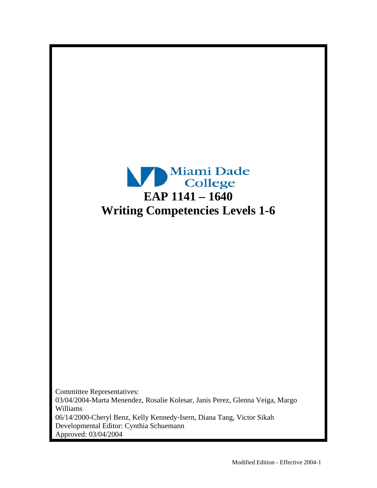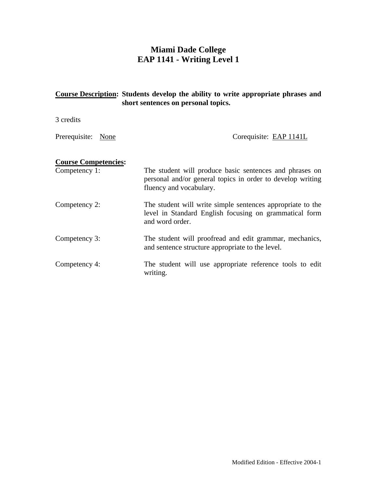### **Miami Dade College EAP 1141 - Writing Level 1**

# **Course Description: Students develop the ability to write appropriate phrases and short sentences on personal topics.**  3 credits Prerequisite: None Corequisite: EAP 1141L **Course Competencies:**  Competency 1: The student will produce basic sentences and phrases on personal and/or general topics in order to develop writing fluency and vocabulary. Competency 2: The student will write simple sentences appropriate to the level in Standard English focusing on grammatical form and word order. Competency 3: The student will proofread and edit grammar, mechanics, and sentence structure appropriate to the level. Competency 4: The student will use appropriate reference tools to edit writing.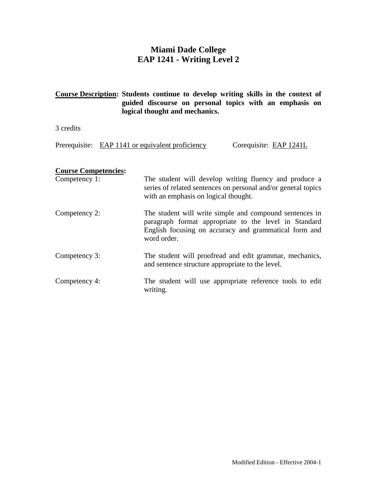### **Miami Dade College EAP 1241 - Writing Level 2**

### **Course Description: Students continue to develop writing skills in the context of guided discourse on personal topics with an emphasis on logical thought and mechanics.**

3 credits

Prerequisite: EAP 1141 or equivalent proficiency Corequisite: EAP 1241L

### **Course Competencies:**

| Competency 1: | The student will develop writing fluency and produce a<br>series of related sentences on personal and/or general topics<br>with an emphasis on logical thought.                          |
|---------------|------------------------------------------------------------------------------------------------------------------------------------------------------------------------------------------|
| Competency 2: | The student will write simple and compound sentences in<br>paragraph format appropriate to the level in Standard<br>English focusing on accuracy and grammatical form and<br>word order. |
| Competency 3: | The student will proofread and edit grammar, mechanics,<br>and sentence structure appropriate to the level.                                                                              |
| Competency 4: | The student will use appropriate reference tools to edit<br>writing.                                                                                                                     |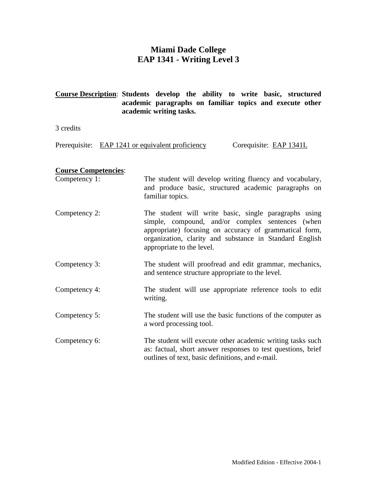### **Miami Dade College EAP 1341 - Writing Level 3**

### **Course Description**: **Students develop the ability to write basic, structured academic paragraphs on familiar topics and execute other academic writing tasks.**

3 credits

Prerequisite: EAP 1241 or equivalent proficiency Corequisite: EAP 1341L

#### **Course Competencies**:

| Competency 1: | The student will develop writing fluency and vocabulary,<br>and produce basic, structured academic paragraphs on<br>familiar topics. |
|---------------|--------------------------------------------------------------------------------------------------------------------------------------|
| Competency 2: | The student will write basic, single paragraphs using<br>simple compound and/or complex sentences (when                              |

- simple, compound, and/or complex sentences (when appropriate) focusing on accuracy of grammatical form, organization, clarity and substance in Standard English appropriate to the level.
- Competency 3: The student will proofread and edit grammar, mechanics, and sentence structure appropriate to the level.
- Competency 4: The student will use appropriate reference tools to edit writing.
- Competency 5: The student will use the basic functions of the computer as a word processing tool.
- Competency 6: The student will execute other academic writing tasks such as: factual, short answer responses to test questions, brief outlines of text, basic definitions, and e-mail.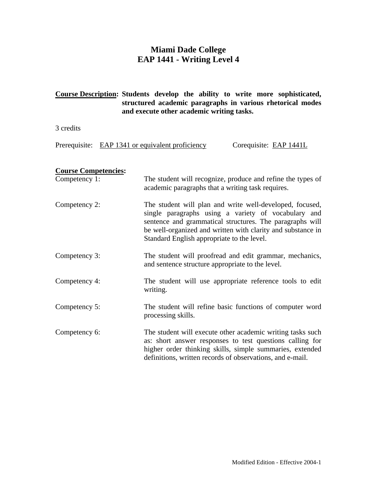### **Miami Dade College EAP 1441 - Writing Level 4**

### **Course Description: Students develop the ability to write more sophisticated, structured academic paragraphs in various rhetorical modes and execute other academic writing tasks.**

3 credits

Prerequisite: EAP 1341 or equivalent proficiency Corequisite: EAP 1441L

### **Course Competencies:**

| Competency 1: | The student will recognize, produce and refine the types of<br>academic paragraphs that a writing task requires.                                                                                                                                                                         |
|---------------|------------------------------------------------------------------------------------------------------------------------------------------------------------------------------------------------------------------------------------------------------------------------------------------|
| Competency 2: | The student will plan and write well-developed, focused,<br>single paragraphs using a variety of vocabulary and<br>sentence and grammatical structures. The paragraphs will<br>be well-organized and written with clarity and substance in<br>Standard English appropriate to the level. |
| Competency 3: | The student will proofread and edit grammar, mechanics,<br>and sentence structure appropriate to the level.                                                                                                                                                                              |
| Competency 4: | The student will use appropriate reference tools to edit<br>writing.                                                                                                                                                                                                                     |
| Competency 5: | The student will refine basic functions of computer word<br>processing skills.                                                                                                                                                                                                           |
| Competency 6: | The student will execute other academic writing tasks such<br>as: short answer responses to test questions calling for<br>higher order thinking skills, simple summaries, extended<br>definitions, written records of observations, and e-mail.                                          |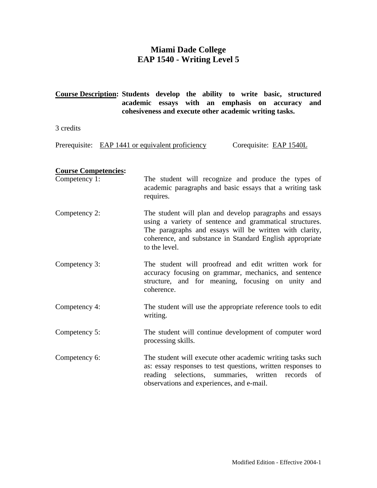### **Miami Dade College EAP 1540 - Writing Level 5**

### **Course Description: Students develop the ability to write basic, structured academic essays with an emphasis on accuracy and cohesiveness and execute other academic writing tasks.**

3 credits

Prerequisite: EAP 1441 or equivalent proficiency Corequisite: EAP 1540L

### **Course Competencies:**

| Competency 1: | The student will recognize and produce the types of<br>academic paragraphs and basic essays that a writing task<br>requires.                                                                                                                               |
|---------------|------------------------------------------------------------------------------------------------------------------------------------------------------------------------------------------------------------------------------------------------------------|
| Competency 2: | The student will plan and develop paragraphs and essays<br>using a variety of sentence and grammatical structures.<br>The paragraphs and essays will be written with clarity,<br>coherence, and substance in Standard English appropriate<br>to the level. |
| Competency 3: | The student will proofread and edit written work for<br>accuracy focusing on grammar, mechanics, and sentence<br>structure, and for meaning, focusing on unity and<br>coherence.                                                                           |
| Competency 4: | The student will use the appropriate reference tools to edit<br>writing.                                                                                                                                                                                   |
| Competency 5: | The student will continue development of computer word<br>processing skills.                                                                                                                                                                               |
| Competency 6: | The student will execute other academic writing tasks such<br>as: essay responses to test questions, written responses to                                                                                                                                  |

reading selections, summaries, written records of

observations and experiences, and e-mail.